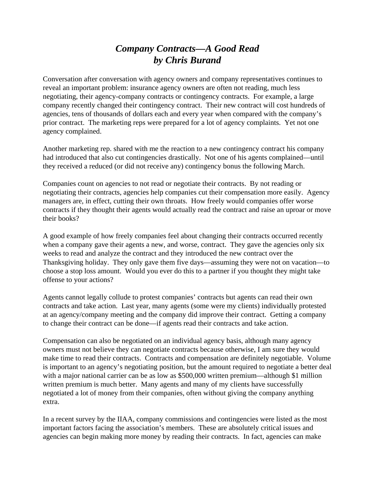## *Company Contracts—A Good Read by Chris Burand*

Conversation after conversation with agency owners and company representatives continues to reveal an important problem: insurance agency owners are often not reading, much less negotiating, their agency-company contracts or contingency contracts. For example, a large company recently changed their contingency contract. Their new contract will cost hundreds of agencies, tens of thousands of dollars each and every year when compared with the company's prior contract. The marketing reps were prepared for a lot of agency complaints. Yet not one agency complained.

Another marketing rep. shared with me the reaction to a new contingency contract his company had introduced that also cut contingencies drastically. Not one of his agents complained—until they received a reduced (or did not receive any) contingency bonus the following March.

Companies count on agencies to not read or negotiate their contracts. By not reading or negotiating their contracts, agencies help companies cut their compensation more easily. Agency managers are, in effect, cutting their own throats. How freely would companies offer worse contracts if they thought their agents would actually read the contract and raise an uproar or move their books?

A good example of how freely companies feel about changing their contracts occurred recently when a company gave their agents a new, and worse, contract. They gave the agencies only six weeks to read and analyze the contract and they introduced the new contract over the Thanksgiving holiday. They only gave them five days—assuming they were not on vacation—to choose a stop loss amount. Would you ever do this to a partner if you thought they might take offense to your actions?

Agents cannot legally collude to protest companies' contracts but agents can read their own contracts and take action. Last year, many agents (some were my clients) individually protested at an agency/company meeting and the company did improve their contract. Getting a company to change their contract can be done—if agents read their contracts and take action.

Compensation can also be negotiated on an individual agency basis, although many agency owners must not believe they can negotiate contracts because otherwise, I am sure they would make time to read their contracts. Contracts and compensation are definitely negotiable. Volume is important to an agency's negotiating position, but the amount required to negotiate a better deal with a major national carrier can be as low as \$500,000 written premium—although \$1 million written premium is much better. Many agents and many of my clients have successfully negotiated a lot of money from their companies, often without giving the company anything extra.

In a recent survey by the IIAA, company commissions and contingencies were listed as the most important factors facing the association's members. These are absolutely critical issues and agencies can begin making more money by reading their contracts. In fact, agencies can make